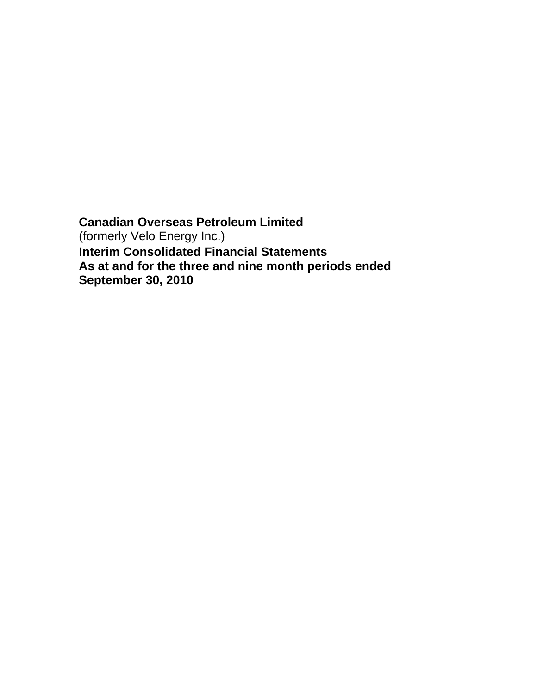**Canadian Overseas Petroleum Limited**  (formerly Velo Energy Inc.) **Interim Consolidated Financial Statements As at and for the three and nine month periods ended September 30, 2010**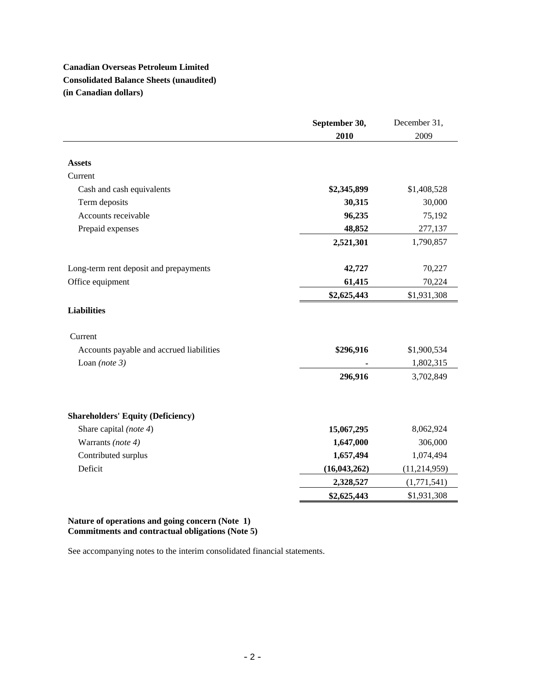# **Canadian Overseas Petroleum Limited Consolidated Balance Sheets (unaudited) (in Canadian dollars)**

|                                          | September 30,  | December 31,   |
|------------------------------------------|----------------|----------------|
|                                          | 2010           | 2009           |
|                                          |                |                |
| <b>Assets</b>                            |                |                |
| Current                                  |                |                |
| Cash and cash equivalents                | \$2,345,899    | \$1,408,528    |
| Term deposits                            | 30,315         | 30,000         |
| Accounts receivable                      | 96,235         | 75,192         |
| Prepaid expenses                         | 48,852         | 277,137        |
|                                          | 2,521,301      | 1,790,857      |
|                                          |                |                |
| Long-term rent deposit and prepayments   | 42,727         | 70,227         |
| Office equipment                         | 61,415         | 70,224         |
|                                          | \$2,625,443    | \$1,931,308    |
| <b>Liabilities</b>                       |                |                |
| Current                                  |                |                |
| Accounts payable and accrued liabilities | \$296,916      | \$1,900,534    |
| Loan (note $3$ )                         |                | 1,802,315      |
|                                          | 296,916        | 3,702,849      |
|                                          |                |                |
| <b>Shareholders' Equity (Deficiency)</b> |                |                |
| Share capital (note 4)                   | 15,067,295     | 8,062,924      |
| Warrants (note 4)                        | 1,647,000      | 306,000        |
| Contributed surplus                      | 1,657,494      | 1,074,494      |
| Deficit                                  | (16, 043, 262) | (11, 214, 959) |
|                                          | 2,328,527      | (1,771,541)    |
|                                          | \$2,625,443    | \$1,931,308    |

# **Nature of operations and going concern (Note 1) Commitments and contractual obligations (Note 5)**

See accompanying notes to the interim consolidated financial statements.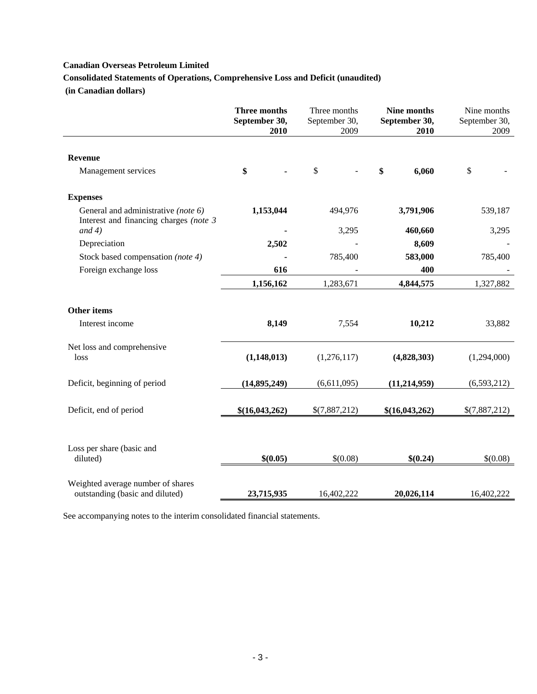**Consolidated Statements of Operations, Comprehensive Loss and Deficit (unaudited)** 

 **(in Canadian dollars)** 

|                                                                               | Three months<br>September 30,<br>2010 | Three months<br>September 30,<br>2009 | Nine months<br>September 30,<br>2010 | Nine months<br>September 30,<br>2009 |
|-------------------------------------------------------------------------------|---------------------------------------|---------------------------------------|--------------------------------------|--------------------------------------|
| <b>Revenue</b>                                                                |                                       |                                       |                                      |                                      |
| Management services                                                           | \$                                    | \$                                    | \$<br>6,060                          | \$                                   |
| <b>Expenses</b>                                                               |                                       |                                       |                                      |                                      |
| General and administrative (note 6)<br>Interest and financing charges (note 3 | 1,153,044                             | 494,976                               | 3,791,906                            | 539,187                              |
| and $4)$                                                                      |                                       | 3,295                                 | 460,660                              | 3,295                                |
| Depreciation                                                                  | 2,502                                 |                                       | 8,609                                |                                      |
| Stock based compensation (note 4)                                             |                                       | 785,400                               | 583,000                              | 785,400                              |
| Foreign exchange loss                                                         | 616                                   |                                       | 400                                  |                                      |
|                                                                               | 1,156,162                             | 1,283,671                             | 4,844,575                            | 1,327,882                            |
| <b>Other items</b><br>Interest income                                         | 8,149                                 | 7,554                                 | 10,212                               | 33,882                               |
| Net loss and comprehensive<br>loss                                            | (1,148,013)                           | (1,276,117)                           | (4,828,303)                          | (1,294,000)                          |
| Deficit, beginning of period                                                  | (14, 895, 249)                        | (6,611,095)                           | (11, 214, 959)                       | (6,593,212)                          |
| Deficit, end of period                                                        | \$(16,043,262)                        | \$(7,887,212)                         | \$(16,043,262)                       | \$(7,887,212)                        |
| Loss per share (basic and<br>diluted)                                         | \$(0.05)                              | \$(0.08)                              | \$(0.24)                             | \$(0.08)                             |
| Weighted average number of shares<br>outstanding (basic and diluted)          | 23,715,935                            | 16,402,222                            | 20,026,114                           | 16,402,222                           |

See accompanying notes to the interim consolidated financial statements.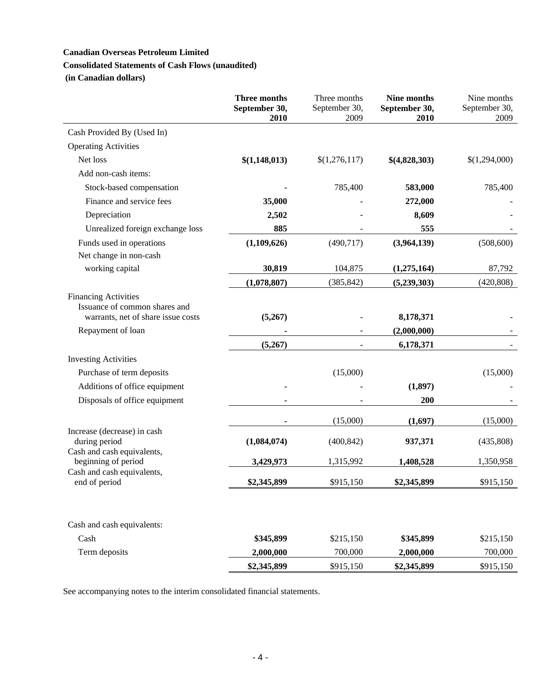# **Canadian Overseas Petroleum Limited Consolidated Statements of Cash Flows (unaudited)**

 **(in Canadian dollars)** 

|                                                                                                    | <b>Three months</b><br>September 30,<br>2010 | Three months<br>September 30,<br>2009 | Nine months<br>September 30,<br>2010 | Nine months<br>September 30,<br>2009 |
|----------------------------------------------------------------------------------------------------|----------------------------------------------|---------------------------------------|--------------------------------------|--------------------------------------|
| Cash Provided By (Used In)                                                                         |                                              |                                       |                                      |                                      |
| <b>Operating Activities</b>                                                                        |                                              |                                       |                                      |                                      |
| Net loss                                                                                           | \$(1,148,013)                                | \$(1,276,117)                         | \$(4,828,303)                        | \$(1,294,000)                        |
| Add non-cash items:                                                                                |                                              |                                       |                                      |                                      |
| Stock-based compensation                                                                           |                                              | 785,400                               | 583,000                              | 785,400                              |
| Finance and service fees                                                                           | 35,000                                       |                                       | 272,000                              |                                      |
| Depreciation                                                                                       | 2,502                                        |                                       | 8,609                                |                                      |
| Unrealized foreign exchange loss                                                                   | 885                                          |                                       | 555                                  |                                      |
| Funds used in operations                                                                           | (1,109,626)                                  | (490, 717)                            | (3,964,139)                          | (508, 600)                           |
| Net change in non-cash                                                                             |                                              |                                       |                                      |                                      |
| working capital                                                                                    | 30,819                                       | 104,875                               | (1,275,164)                          | 87,792                               |
|                                                                                                    | (1,078,807)                                  | (385, 842)                            | (5,239,303)                          | (420, 808)                           |
| <b>Financing Activities</b><br>Issuance of common shares and<br>warrants, net of share issue costs | (5,267)                                      |                                       | 8,178,371                            |                                      |
| Repayment of loan                                                                                  |                                              |                                       | (2,000,000)                          |                                      |
|                                                                                                    | (5,267)                                      |                                       | 6,178,371                            |                                      |
| <b>Investing Activities</b>                                                                        |                                              |                                       |                                      |                                      |
| Purchase of term deposits                                                                          |                                              | (15,000)                              |                                      | (15,000)                             |
| Additions of office equipment                                                                      |                                              |                                       | (1, 897)                             |                                      |
| Disposals of office equipment                                                                      |                                              |                                       | 200                                  |                                      |
|                                                                                                    |                                              | (15,000)                              | (1,697)                              | (15,000)                             |
| Increase (decrease) in cash<br>during period<br>Cash and cash equivalents,                         | (1,084,074)                                  | (400, 842)                            | 937,371                              | (435,808)                            |
| beginning of period                                                                                | 3,429,973                                    | 1,315,992                             | 1,408,528                            | 1,350,958                            |
| Cash and cash equivalents,<br>end of period                                                        | \$2,345,899                                  | \$915,150                             | \$2,345,899                          | \$915,150                            |
| Cash and cash equivalents:                                                                         |                                              |                                       |                                      |                                      |
| Cash                                                                                               | \$345,899                                    | \$215,150                             | \$345,899                            | \$215,150                            |
| Term deposits                                                                                      | 2,000,000                                    | 700,000                               | 2,000,000                            | 700,000                              |
|                                                                                                    | \$2,345,899                                  | \$915,150                             | \$2,345,899                          | \$915,150                            |

See accompanying notes to the interim consolidated financial statements.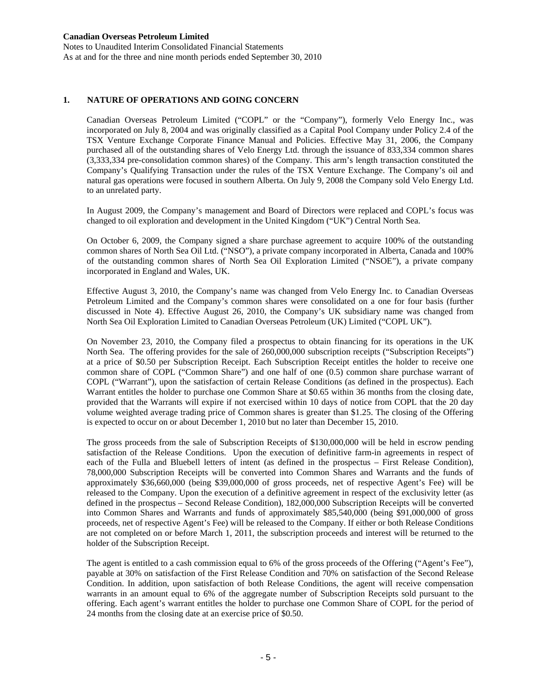Notes to Unaudited Interim Consolidated Financial Statements As at and for the three and nine month periods ended September 30, 2010

# **1. NATURE OF OPERATIONS AND GOING CONCERN**

Canadian Overseas Petroleum Limited ("COPL" or the "Company"), formerly Velo Energy Inc., was incorporated on July 8, 2004 and was originally classified as a Capital Pool Company under Policy 2.4 of the TSX Venture Exchange Corporate Finance Manual and Policies. Effective May 31, 2006, the Company purchased all of the outstanding shares of Velo Energy Ltd. through the issuance of 833,334 common shares (3,333,334 pre-consolidation common shares) of the Company. This arm's length transaction constituted the Company's Qualifying Transaction under the rules of the TSX Venture Exchange. The Company's oil and natural gas operations were focused in southern Alberta. On July 9, 2008 the Company sold Velo Energy Ltd. to an unrelated party.

In August 2009, the Company's management and Board of Directors were replaced and COPL's focus was changed to oil exploration and development in the United Kingdom ("UK") Central North Sea.

On October 6, 2009, the Company signed a share purchase agreement to acquire 100% of the outstanding common shares of North Sea Oil Ltd. ("NSO"), a private company incorporated in Alberta, Canada and 100% of the outstanding common shares of North Sea Oil Exploration Limited ("NSOE"), a private company incorporated in England and Wales, UK.

Effective August 3, 2010, the Company's name was changed from Velo Energy Inc. to Canadian Overseas Petroleum Limited and the Company's common shares were consolidated on a one for four basis (further discussed in Note 4). Effective August 26, 2010, the Company's UK subsidiary name was changed from North Sea Oil Exploration Limited to Canadian Overseas Petroleum (UK) Limited ("COPL UK").

On November 23, 2010, the Company filed a prospectus to obtain financing for its operations in the UK North Sea. The offering provides for the sale of 260,000,000 subscription receipts ("Subscription Receipts") at a price of \$0.50 per Subscription Receipt. Each Subscription Receipt entitles the holder to receive one common share of COPL ("Common Share") and one half of one (0.5) common share purchase warrant of COPL ("Warrant"), upon the satisfaction of certain Release Conditions (as defined in the prospectus). Each Warrant entitles the holder to purchase one Common Share at \$0.65 within 36 months from the closing date, provided that the Warrants will expire if not exercised within 10 days of notice from COPL that the 20 day volume weighted average trading price of Common shares is greater than \$1.25. The closing of the Offering is expected to occur on or about December 1, 2010 but no later than December 15, 2010.

The gross proceeds from the sale of Subscription Receipts of \$130,000,000 will be held in escrow pending satisfaction of the Release Conditions. Upon the execution of definitive farm-in agreements in respect of each of the Fulla and Bluebell letters of intent (as defined in the prospectus – First Release Condition), 78,000,000 Subscription Receipts will be converted into Common Shares and Warrants and the funds of approximately \$36,660,000 (being \$39,000,000 of gross proceeds, net of respective Agent's Fee) will be released to the Company. Upon the execution of a definitive agreement in respect of the exclusivity letter (as defined in the prospectus – Second Release Condition), 182,000,000 Subscription Receipts will be converted into Common Shares and Warrants and funds of approximately \$85,540,000 (being \$91,000,000 of gross proceeds, net of respective Agent's Fee) will be released to the Company. If either or both Release Conditions are not completed on or before March 1, 2011, the subscription proceeds and interest will be returned to the holder of the Subscription Receipt.

The agent is entitled to a cash commission equal to 6% of the gross proceeds of the Offering ("Agent's Fee"), payable at 30% on satisfaction of the First Release Condition and 70% on satisfaction of the Second Release Condition. In addition, upon satisfaction of both Release Conditions, the agent will receive compensation warrants in an amount equal to 6% of the aggregate number of Subscription Receipts sold pursuant to the offering. Each agent's warrant entitles the holder to purchase one Common Share of COPL for the period of 24 months from the closing date at an exercise price of \$0.50.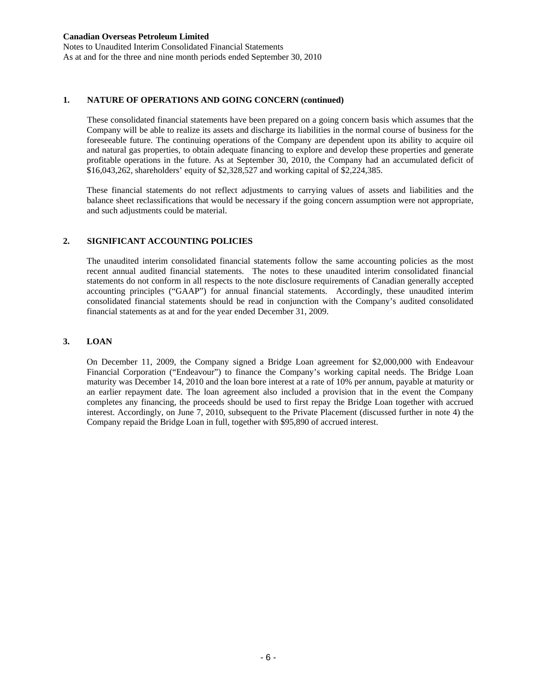Notes to Unaudited Interim Consolidated Financial Statements As at and for the three and nine month periods ended September 30, 2010

### **1. NATURE OF OPERATIONS AND GOING CONCERN (continued)**

 These consolidated financial statements have been prepared on a going concern basis which assumes that the Company will be able to realize its assets and discharge its liabilities in the normal course of business for the foreseeable future. The continuing operations of the Company are dependent upon its ability to acquire oil and natural gas properties, to obtain adequate financing to explore and develop these properties and generate profitable operations in the future. As at September 30, 2010, the Company had an accumulated deficit of \$16,043,262, shareholders' equity of \$2,328,527 and working capital of \$2,224,385.

 These financial statements do not reflect adjustments to carrying values of assets and liabilities and the balance sheet reclassifications that would be necessary if the going concern assumption were not appropriate, and such adjustments could be material.

# **2. SIGNIFICANT ACCOUNTING POLICIES**

 The unaudited interim consolidated financial statements follow the same accounting policies as the most recent annual audited financial statements. The notes to these unaudited interim consolidated financial statements do not conform in all respects to the note disclosure requirements of Canadian generally accepted accounting principles ("GAAP") for annual financial statements. Accordingly, these unaudited interim consolidated financial statements should be read in conjunction with the Company's audited consolidated financial statements as at and for the year ended December 31, 2009.

# **3. LOAN**

On December 11, 2009, the Company signed a Bridge Loan agreement for \$2,000,000 with Endeavour Financial Corporation ("Endeavour") to finance the Company's working capital needs. The Bridge Loan maturity was December 14, 2010 and the loan bore interest at a rate of 10% per annum, payable at maturity or an earlier repayment date. The loan agreement also included a provision that in the event the Company completes any financing, the proceeds should be used to first repay the Bridge Loan together with accrued interest. Accordingly, on June 7, 2010, subsequent to the Private Placement (discussed further in note 4) the Company repaid the Bridge Loan in full, together with \$95,890 of accrued interest.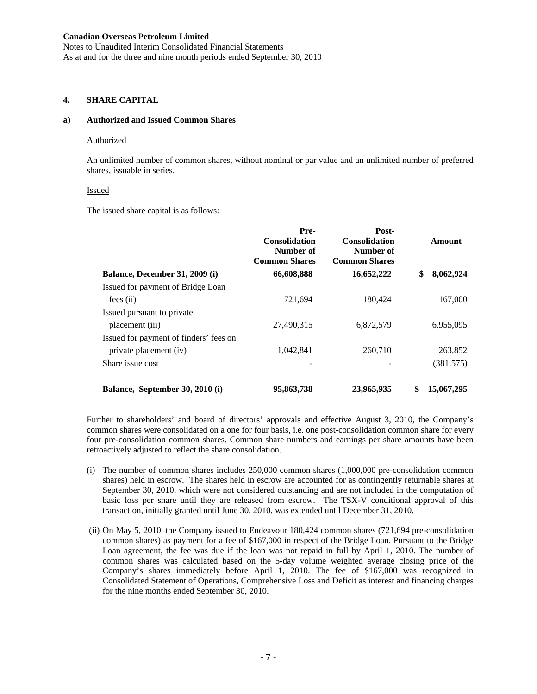Notes to Unaudited Interim Consolidated Financial Statements As at and for the three and nine month periods ended September 30, 2010

# **4. SHARE CAPITAL**

# **a) Authorized and Issued Common Shares**

#### **Authorized**

An unlimited number of common shares, without nominal or par value and an unlimited number of preferred shares, issuable in series.

#### Issued

The issued share capital is as follows:

|                                        | Pre-<br><b>Consolidation</b><br>Number of<br><b>Common Shares</b> | Post-<br><b>Consolidation</b><br>Number of<br><b>Common Shares</b> | Amount           |
|----------------------------------------|-------------------------------------------------------------------|--------------------------------------------------------------------|------------------|
| Balance, December 31, 2009 (i)         | 66,608,888                                                        | 16,652,222                                                         | \$<br>8,062,924  |
| Issued for payment of Bridge Loan      |                                                                   |                                                                    |                  |
| $fees$ (ii)                            | 721,694                                                           | 180,424                                                            | 167,000          |
| Issued pursuant to private             |                                                                   |                                                                    |                  |
| placement (iii)                        | 27,490,315                                                        | 6,872,579                                                          | 6,955,095        |
| Issued for payment of finders' fees on |                                                                   |                                                                    |                  |
| private placement (iv)                 | 1.042.841                                                         | 260.710                                                            | 263.852          |
| Share issue cost                       |                                                                   |                                                                    | (381, 575)       |
|                                        |                                                                   |                                                                    |                  |
| Balance, September 30, 2010 (i)        | 95,863,738                                                        | 23,965,935                                                         | 15,067,295<br>\$ |

Further to shareholders' and board of directors' approvals and effective August 3, 2010, the Company's common shares were consolidated on a one for four basis, i.e. one post-consolidation common share for every four pre-consolidation common shares. Common share numbers and earnings per share amounts have been retroactively adjusted to reflect the share consolidation.

- (i) The number of common shares includes 250,000 common shares (1,000,000 pre-consolidation common shares) held in escrow. The shares held in escrow are accounted for as contingently returnable shares at September 30, 2010, which were not considered outstanding and are not included in the computation of basic loss per share until they are released from escrow. The TSX-V conditional approval of this transaction, initially granted until June 30, 2010, was extended until December 31, 2010.
- (ii) On May 5, 2010, the Company issued to Endeavour 180,424 common shares (721,694 pre-consolidation common shares) as payment for a fee of \$167,000 in respect of the Bridge Loan. Pursuant to the Bridge Loan agreement, the fee was due if the loan was not repaid in full by April 1, 2010. The number of common shares was calculated based on the 5-day volume weighted average closing price of the Company's shares immediately before April 1, 2010. The fee of \$167,000 was recognized in Consolidated Statement of Operations, Comprehensive Loss and Deficit as interest and financing charges for the nine months ended September 30, 2010.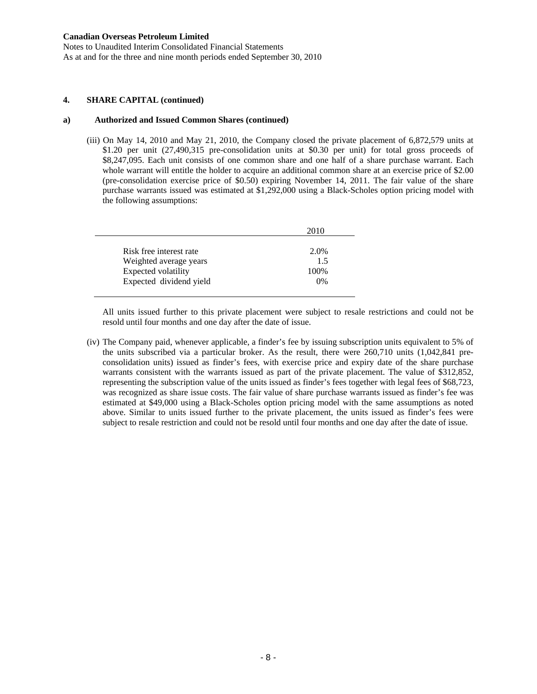Notes to Unaudited Interim Consolidated Financial Statements As at and for the three and nine month periods ended September 30, 2010

### **4. SHARE CAPITAL (continued)**

#### **a) Authorized and Issued Common Shares (continued)**

(iii) On May 14, 2010 and May 21, 2010, the Company closed the private placement of 6,872,579 units at \$1.20 per unit (27,490,315 pre-consolidation units at \$0.30 per unit) for total gross proceeds of \$8,247,095. Each unit consists of one common share and one half of a share purchase warrant. Each whole warrant will entitle the holder to acquire an additional common share at an exercise price of \$2.00 (pre-consolidation exercise price of \$0.50) expiring November 14, 2011. The fair value of the share purchase warrants issued was estimated at \$1,292,000 using a Black-Scholes option pricing model with the following assumptions:

|                         | 2010 |
|-------------------------|------|
| Risk free interest rate | 2.0% |
| Weighted average years  | 15   |
| Expected volatility     | 100% |
| Expected dividend yield | 0%   |

All units issued further to this private placement were subject to resale restrictions and could not be resold until four months and one day after the date of issue.

(iv) The Company paid, whenever applicable, a finder's fee by issuing subscription units equivalent to 5% of the units subscribed via a particular broker. As the result, there were 260,710 units (1,042,841 preconsolidation units) issued as finder's fees, with exercise price and expiry date of the share purchase warrants consistent with the warrants issued as part of the private placement. The value of \$312,852, representing the subscription value of the units issued as finder's fees together with legal fees of \$68,723, was recognized as share issue costs. The fair value of share purchase warrants issued as finder's fee was estimated at \$49,000 using a Black-Scholes option pricing model with the same assumptions as noted above. Similar to units issued further to the private placement, the units issued as finder's fees were subject to resale restriction and could not be resold until four months and one day after the date of issue.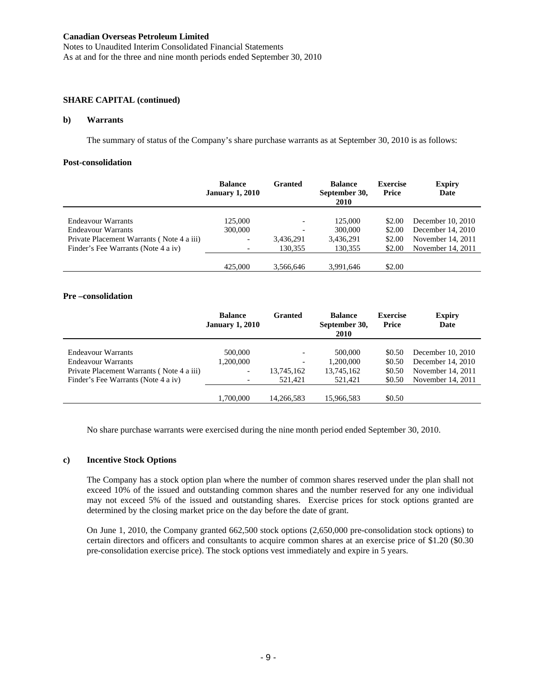Notes to Unaudited Interim Consolidated Financial Statements As at and for the three and nine month periods ended September 30, 2010

### **SHARE CAPITAL (continued)**

#### **b) Warrants**

The summary of status of the Company's share purchase warrants as at September 30, 2010 is as follows:

#### **Post-consolidation**

|                                           | <b>Balance</b><br><b>January 1, 2010</b> | Granted   | <b>Balance</b><br>September 30,<br>2010 | <b>Exercise</b><br><b>Price</b> | <b>Expiry</b><br>Date |
|-------------------------------------------|------------------------------------------|-----------|-----------------------------------------|---------------------------------|-----------------------|
|                                           |                                          |           |                                         |                                 |                       |
| Endeavour Warrants                        | 125,000                                  |           | 125,000                                 | \$2.00                          | December 10, 2010     |
| Endeavour Warrants                        | 300,000                                  |           | 300,000                                 | \$2.00                          | December 14, 2010     |
| Private Placement Warrants (Note 4 a iii) |                                          | 3,436,291 | 3,436,291                               | \$2.00                          | November 14, 2011     |
| Finder's Fee Warrants (Note 4 a iv)       |                                          | 130.355   | 130.355                                 | \$2.00                          | November 14, 2011     |
|                                           |                                          |           |                                         |                                 |                       |
|                                           | 425,000                                  | 3.566.646 | 3.991.646                               | \$2.00                          |                       |

#### **Pre –consolidation**

|                                                                                                                                     | <b>Balance</b><br><b>January 1, 2010</b>                                     | Granted                                           | <b>Balance</b><br>September 30,<br>2010       | <b>Exercise</b><br><b>Price</b>      | <b>Expiry</b><br>Date                                                            |
|-------------------------------------------------------------------------------------------------------------------------------------|------------------------------------------------------------------------------|---------------------------------------------------|-----------------------------------------------|--------------------------------------|----------------------------------------------------------------------------------|
| Endeavour Warrants<br><b>Endeavour Warrants</b><br>Private Placement Warrants (Note 4 a iii)<br>Finder's Fee Warrants (Note 4 a iv) | 500,000<br>1,200,000<br>$\overline{\phantom{0}}$<br>$\overline{\phantom{a}}$ | $\overline{\phantom{0}}$<br>13,745,162<br>521.421 | 500,000<br>1,200,000<br>13,745,162<br>521.421 | \$0.50<br>\$0.50<br>\$0.50<br>\$0.50 | December 10, 2010<br>December 14, 2010<br>November 14, 2011<br>November 14, 2011 |
|                                                                                                                                     | 1.700.000                                                                    | 14.266.583                                        | 15,966,583                                    | \$0.50                               |                                                                                  |

No share purchase warrants were exercised during the nine month period ended September 30, 2010.

### **c) Incentive Stock Options**

The Company has a stock option plan where the number of common shares reserved under the plan shall not exceed 10% of the issued and outstanding common shares and the number reserved for any one individual may not exceed 5% of the issued and outstanding shares. Exercise prices for stock options granted are determined by the closing market price on the day before the date of grant.

On June 1, 2010, the Company granted 662,500 stock options (2,650,000 pre-consolidation stock options) to certain directors and officers and consultants to acquire common shares at an exercise price of \$1.20 (\$0.30 pre-consolidation exercise price). The stock options vest immediately and expire in 5 years.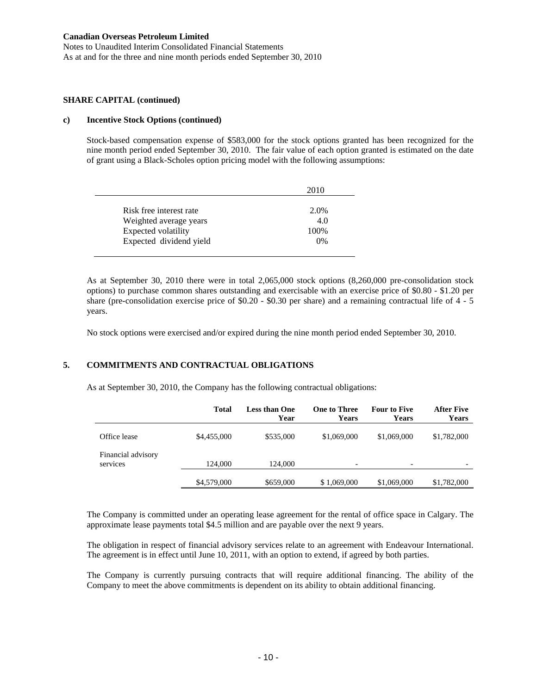Notes to Unaudited Interim Consolidated Financial Statements As at and for the three and nine month periods ended September 30, 2010

#### **SHARE CAPITAL (continued)**

#### **c) Incentive Stock Options (continued)**

Stock-based compensation expense of \$583,000 for the stock options granted has been recognized for the nine month period ended September 30, 2010. The fair value of each option granted is estimated on the date of grant using a Black-Scholes option pricing model with the following assumptions:

|                         | 2010 |
|-------------------------|------|
| Risk free interest rate | 2.0% |
| Weighted average years  | 4.0  |
| Expected volatility     | 100% |
| Expected dividend yield | 0%   |

As at September 30, 2010 there were in total 2,065,000 stock options (8,260,000 pre-consolidation stock options) to purchase common shares outstanding and exercisable with an exercise price of \$0.80 - \$1.20 per share (pre-consolidation exercise price of \$0.20 - \$0.30 per share) and a remaining contractual life of 4 - 5 years.

No stock options were exercised and/or expired during the nine month period ended September 30, 2010.

# **5. COMMITMENTS AND CONTRACTUAL OBLIGATIONS**

As at September 30, 2010, the Company has the following contractual obligations:

|                                | Total       | <b>Less than One</b><br>Year | <b>One to Three</b><br><b>Years</b> | <b>Four to Five</b><br><b>Years</b> | <b>After Five</b><br><b>Years</b> |
|--------------------------------|-------------|------------------------------|-------------------------------------|-------------------------------------|-----------------------------------|
| Office lease                   | \$4,455,000 | \$535,000                    | \$1,069,000                         | \$1,069,000                         | \$1,782,000                       |
| Financial advisory<br>services | 124,000     | 124,000                      | ۰                                   | $\overline{\phantom{a}}$            |                                   |
|                                | \$4,579,000 | \$659,000                    | \$1,069,000                         | \$1,069,000                         | \$1,782,000                       |

The Company is committed under an operating lease agreement for the rental of office space in Calgary. The approximate lease payments total \$4.5 million and are payable over the next 9 years.

The obligation in respect of financial advisory services relate to an agreement with Endeavour International. The agreement is in effect until June 10, 2011, with an option to extend, if agreed by both parties.

The Company is currently pursuing contracts that will require additional financing. The ability of the Company to meet the above commitments is dependent on its ability to obtain additional financing.